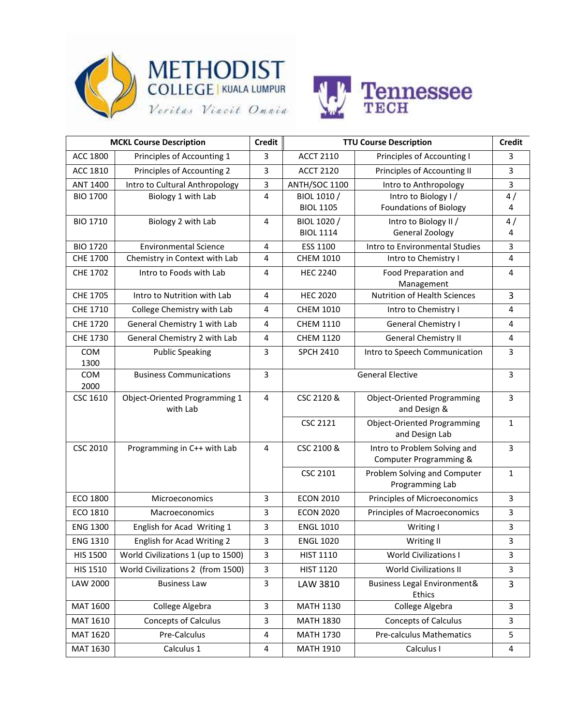





| <b>MCKL Course Description</b> |                                    | <b>Credit</b> | <b>TTU Course Description</b> |                                                         | <b>Credit</b>  |
|--------------------------------|------------------------------------|---------------|-------------------------------|---------------------------------------------------------|----------------|
| ACC 1800                       | Principles of Accounting 1         | 3             | <b>ACCT 2110</b>              | Principles of Accounting I                              | 3              |
| ACC 1810                       | Principles of Accounting 2         | 3             | <b>ACCT 2120</b>              | Principles of Accounting II                             | 3              |
| <b>ANT 1400</b>                | Intro to Cultural Anthropology     | 3             | ANTH/SOC 1100                 | Intro to Anthropology                                   | 3              |
| <b>BIO 1700</b>                | Biology 1 with Lab                 | 4             | BIOL 1010 /                   | Intro to Biology I/                                     | 4/             |
|                                |                                    |               | <b>BIOL 1105</b>              | <b>Foundations of Biology</b>                           | $\overline{4}$ |
| <b>BIO 1710</b>                | Biology 2 with Lab                 | 4             | BIOL 1020 /                   | Intro to Biology II /                                   | 4/             |
|                                |                                    |               | <b>BIOL 1114</b>              | General Zoology                                         | 4              |
| <b>BIO 1720</b>                | <b>Environmental Science</b>       | 4             | ESS 1100                      | Intro to Environmental Studies                          | 3              |
| <b>CHE 1700</b>                | Chemistry in Context with Lab      | 4             | <b>CHEM 1010</b>              | Intro to Chemistry I                                    | $\overline{4}$ |
| <b>CHE 1702</b>                | Intro to Foods with Lab            | 4             | <b>HEC 2240</b>               | Food Preparation and                                    | 4              |
|                                |                                    | 4             | <b>HEC 2020</b>               | Management<br><b>Nutrition of Health Sciences</b>       | $\overline{3}$ |
| CHE 1705                       | Intro to Nutrition with Lab        |               |                               |                                                         |                |
| CHE 1710                       | College Chemistry with Lab         | 4             | <b>CHEM 1010</b>              | Intro to Chemistry I                                    | 4              |
| <b>CHE 1720</b>                | General Chemistry 1 with Lab       | 4             | <b>CHEM 1110</b>              | <b>General Chemistry I</b>                              | 4              |
| CHE 1730                       | General Chemistry 2 with Lab       | 4             | <b>CHEM 1120</b>              | <b>General Chemistry II</b>                             | 4              |
| <b>COM</b>                     | <b>Public Speaking</b>             | 3             | <b>SPCH 2410</b>              | Intro to Speech Communication                           | 3              |
| 1300                           |                                    |               |                               |                                                         |                |
| COM<br>2000                    | <b>Business Communications</b>     | 3             | <b>General Elective</b>       |                                                         | 3              |
| CSC 1610                       | Object-Oriented Programming 1      | 4             | CSC 2120 &                    | <b>Object-Oriented Programming</b>                      | $\overline{3}$ |
|                                | with Lab                           |               |                               | and Design &                                            |                |
|                                |                                    |               | <b>CSC 2121</b>               | <b>Object-Oriented Programming</b>                      | 1              |
|                                |                                    |               |                               | and Design Lab                                          |                |
| <b>CSC 2010</b>                | Programming in C++ with Lab        | 4             | CSC 2100 &                    | Intro to Problem Solving and                            | $\overline{3}$ |
|                                |                                    |               |                               | Computer Programming &                                  |                |
|                                |                                    |               | <b>CSC 2101</b>               | Problem Solving and Computer                            | $\mathbf{1}$   |
|                                |                                    |               |                               | Programming Lab                                         |                |
| ECO 1800                       | Microeconomics                     | 3             | <b>ECON 2010</b>              | Principles of Microeconomics                            | $\overline{3}$ |
| ECO 1810                       | <b>Macroeconomics</b>              | 3             | <b>ECON 2020</b>              | <b>Principles of Macroeconomics</b>                     | 3              |
| <b>ENG 1300</b>                | English for Acad Writing 1         | 3             | <b>ENGL 1010</b>              | Writing I                                               | 3              |
| <b>ENG 1310</b>                | English for Acad Writing 2         | 3             | <b>ENGL 1020</b>              | Writing II                                              | 3              |
| <b>HIS 1500</b>                | World Civilizations 1 (up to 1500) | 3             | <b>HIST 1110</b>              | <b>World Civilizations I</b>                            | 3              |
| HIS 1510                       | World Civilizations 2 (from 1500)  | 3             | <b>HIST 1120</b>              | <b>World Civilizations II</b>                           | 3              |
| LAW 2000                       | <b>Business Law</b>                | 3             | LAW 3810                      | <b>Business Legal Environment&amp;</b><br><b>Ethics</b> | 3              |
| MAT 1600                       | College Algebra                    | 3             | <b>MATH 1130</b>              | College Algebra                                         | 3              |
| MAT 1610                       | <b>Concepts of Calculus</b>        | 3             | <b>MATH 1830</b>              | <b>Concepts of Calculus</b>                             | 3              |
| MAT 1620                       | Pre-Calculus                       | 4             | <b>MATH 1730</b>              | <b>Pre-calculus Mathematics</b>                         | 5              |
|                                |                                    |               |                               |                                                         |                |
| MAT 1630                       | Calculus 1                         | 4             | <b>MATH 1910</b>              | Calculus I                                              | 4              |